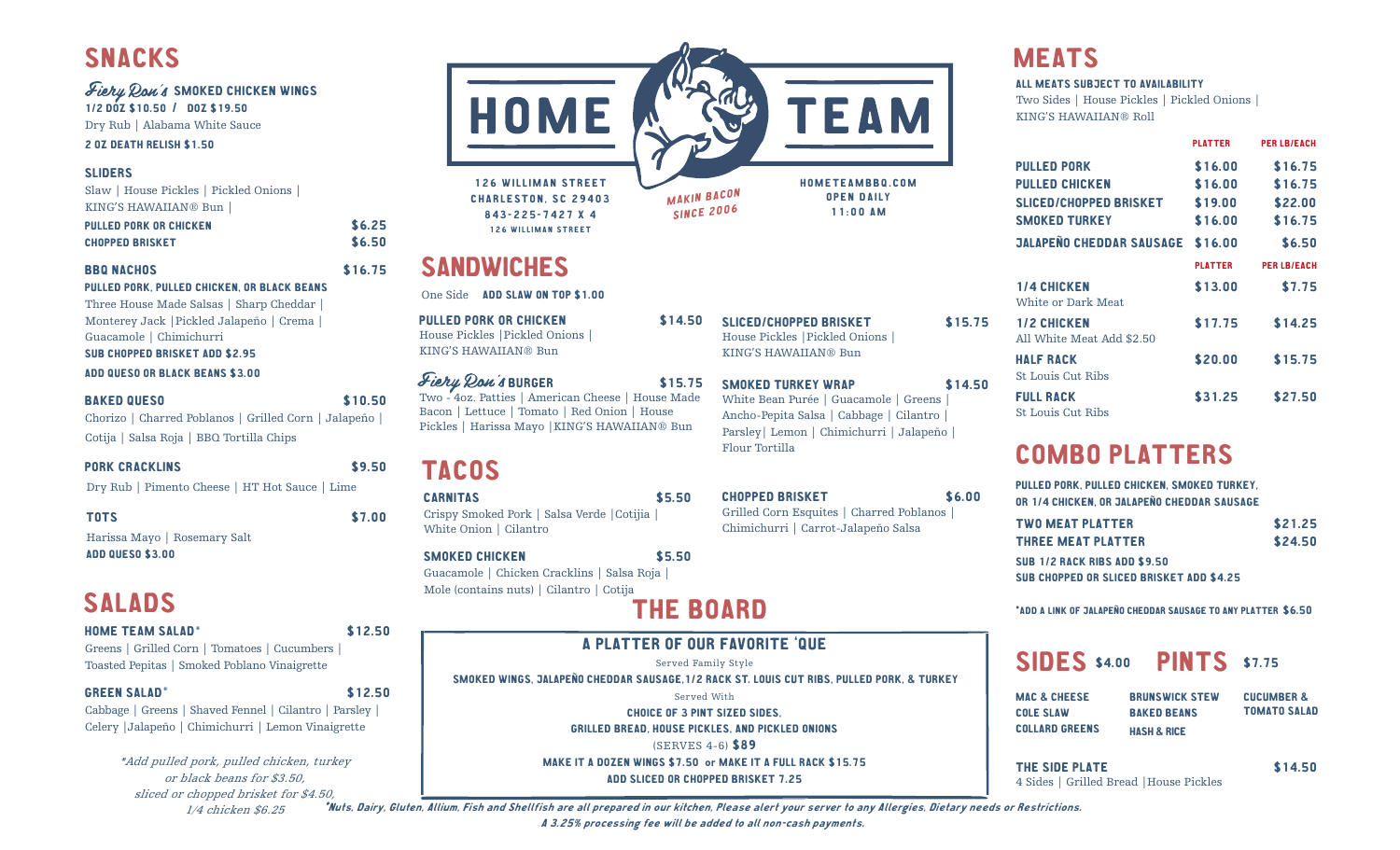# Fiery Ron's SMOKED CHICKEN WINGS

1/2 DOZ \$10.50 / DOZ \$19.50 Dry Rub | Alabama White Sauce

2 OZ DEATH RELISH \$1.50

### SLIDERS

Slaw | House Pickles | Pickled Onions | KING'S HAWAIIAN® Bun |

| PULLED PORK OR CHICKEN | \$6.25 |
|------------------------|--------|
| <b>CHOPPED BRISKET</b> | \$6.50 |

## BBQ NACHOS \$16.75

PULLED PORK, PULLED CHICKEN, OR BLACK BEANS Three House Made Salsas | Sharp Cheddar | Monterey Jack |Pickled Jalapeño | Crema | Guacamole | Chimichurri SUB CHOPPED BRISKET ADD \$2.95

### ADD QUESO OR BLACK BEANS \$3.00

#### BAKED QUESO \$10.50

Chorizo | Charred Poblanos | Grilled Corn | Jalapeño | Cotija | Salsa Roja | BBQ Tortilla Chips

## PORK CRACKLINS \$9.50

Dry Rub | Pimento Cheese | HT Hot Sauce | Lime

TOTS \$7.00

Harissa Mayo | Rosemary Salt ADD QUESO \$3.00

# SALADS

#### HOME TEAM SALAD\* \$12.50

Greens | Grilled Corn | Tomatoes | Cucumbers | Toasted Pepitas | Smoked Poblano Vinaigrette

#### GREEN SALAD<sup>\*</sup> \$12.50

Cabbage | Greens | Shaved Fennel | Cilantro | Parsley | Celery |Jalapeño | Chimichurri | Lemon Vinaigrette

> \*Add pulled pork, pulled chicken, turkey or black beans for \$3.50, sliced or chopped brisket for \$4.50, 1/4 chicken \$6.25



GRILLED BREAD, HOUSE PICKLES, AND PICKLED ONIONS

(SERVES 4-6) \$89

MAKE IT A DOZEN WINGS \$7.50 or MAKE IT A FULL RACK \$15.75

ADD SLICED OR CHOPPED BRISKET 7.25

#### ALL MEATS SUBJECT TO AVAILABILITY

Two Sides | House Pickles | Pickled Onions | KING'S HAWAIIAN® Roll

|                                                 | <b>PLATTER</b> | <b>PER LB/EACH</b> |
|-------------------------------------------------|----------------|--------------------|
| <b>PULLED PORK</b>                              | \$16.00        | \$16.75            |
| <b>PULLED CHICKEN</b>                           | \$16.00        | \$16.75            |
| SLICED/CHOPPED BRISKET                          | \$19.00        | \$22.00            |
| <b>SMOKED TURKEY</b>                            | \$16.00        | \$16.75            |
| <b>JALAPEÑO CHEDDAR SAUSAGE</b>                 | \$16.00        | \$6.50             |
|                                                 | <b>PLATTER</b> | <b>PER LB/EACH</b> |
| <b>1/4 CHICKEN</b>                              | \$13.00        | \$7.75             |
| White or Dark Meat                              |                |                    |
| <b>1/2 CHICKEN</b><br>All White Meat Add \$2.50 | \$17.75        | \$14.25            |
| <b>HALF RACK</b>                                | \$20.00        | \$15.75            |
| <b>St. Louis Cut. Ribs</b>                      |                |                    |
| <b>FULL RACK</b><br><b>St. Louis Cut. Ribs</b>  | \$31.25        | \$27.50            |

# COMBO PLATTERS

| PULLED PORK, PULLED CHICKEN, SMOKED TURKEY. |
|---------------------------------------------|
| OR 1/4 CHICKEN, OR JALAPEÑO CHEDDAR SAUSAGE |

| <b>TWO MEAT PLATTER</b>                  | \$21.25 |
|------------------------------------------|---------|
| <b>THREE MEAT PLATTER</b>                | \$24.50 |
| <b>SUB 1/2 RACK RIBS ADD \$9.50</b>      |         |
| SUB CHOPPED OR SLICED BRISKET ADD \$4.25 |         |

\*ADD A LINK OF JALAPEÑO CHEDDAR SAUSAGE TO ANY PLATTER \$6.50

# SIDES \$4.00 PINTS \$7.75

MAC & CHEESE COLE SLAW COLLARD GREENS BRUNSWICK STEW BAKED BEANS HASH & RICE

CUCUMBER & TOMATO SALAD

THE SIDE PLATE \$14.50 4 Sides | Grilled Bread |House Pickles

\*Nuts, Dairy, Gluten, Allium, Fish and Shellfish are all prepared in our kitchen, Please alert your server to any Allergies, Dietary needs or Restrictions. A 3.25% processing fee will be added to all non-cash payments.